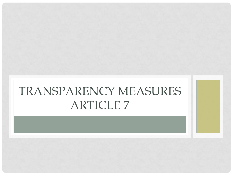### TRANSPARENCY MEASURES ARTICLE 7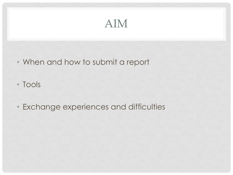#### AIM

- When and how to submit a report
- Tools
- Exchange experiences and difficulties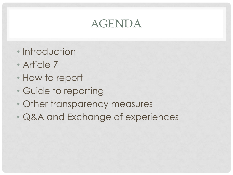#### AGENDA

- Introduction
- Article 7
- How to report
- Guide to reporting
- Other transparency measures
- Q&A and Exchange of experiences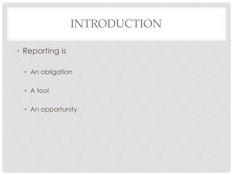#### INTRODUCTION

- Reporting is
	- An obligation
	- A tool
	- An opportunity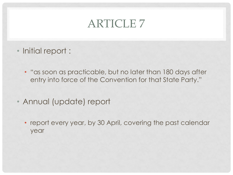#### ARTICLE 7

- Initial report :
	- "as soon as practicable, but no later than 180 days after entry into force of the Convention for that State Party."
- Annual (update) report
	- report every year, by 30 April, covering the past calendar year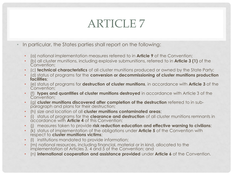### ARTICLE 7

- In particular, the States parties shall report on the following:
	- (a) national implementation measures referred to in **Article 9** of the Convention;
	- (b) all cluster munitions, including explosive submunitions, referred to in **Article 3 (1)** of the Convention;
	- (c) **technical characteristics** of all cluster munitions produced or owned by the State Party;
	- (d) status of programs for the **conversion or decommissioning of cluster munitions production facilities**;
	- (e) status of programs for **destruction of cluster munitions**, in accordance with **Article 3** of the Convention;
	- (f) **types and quantities of cluster munitions destroyed** in accordance with Article 3 of the Convention;
	- (g) **cluster munitions discovered after completion of the destruction** referred to in subparagraph and plans for their destruction;
	- (h) size and location of all **cluster munitions contaminated areas**;
	- (i) status of programs for the **clearance and destruction** of all cluster munitions remnants in accordance with **Article 4** of this Convention;
	- (j) measures taken to provide **risk reduction education and effective warning to civilians**;
	- (k) status of implementation of the obligations under **Article 5** of the Convention with respect to **cluster munitions victims**;
	- (l) institutions mandated to provide information;
	- (m) national resources, including financial, material or in kind, allocated to the implementation of Articles 3, 4 and 5 of the Convention; and
	- (n) **international cooperation and assistance provided** under **Article 6** of the Convention.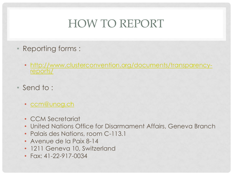### HOW TO REPORT

- Reporting forms :
	- [http://www.clusterconvention.org/documents/transparency](http://www.clusterconvention.org/documents/transparency-reports/)[reports/](http://www.clusterconvention.org/documents/transparency-reports/)
- Send to :
	- [ccm@unog.ch](mailto:ccm@unog.ch)
	- CCM Secretariat
	- United Nations Office for Disarmament Affairs, Geneva Branch
	- Palais des Nations, room C-113.1
	- Avenue de la Paix 8-14
	- 1211 Geneva 10, Switzerland
	- Fax: 41-22-917-0034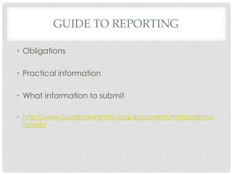#### GUIDE TO REPORTING

- Obligations
- Practical information
- What information to submit
- [http://www.clusterconvention.org/documents/transparency](http://www.clusterconvention.org/documents/transparency-reports/)[reports/](http://www.clusterconvention.org/documents/transparency-reports/)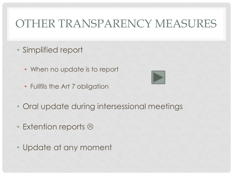#### OTHER TRANSPARENCY MEASURES

- Simplified report
	- When no update is to report
	- Fullfils the Art 7 obligation



- Oral update during intersessional meetings
- Extention reports  $\odot$
- Update at any moment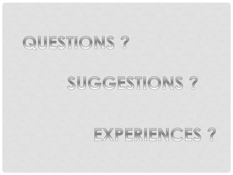# QUESTIONS ?

### SUGGESTIONS ?

# EXPERIENCES ?